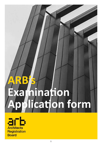# **ARB's Examination Application form**

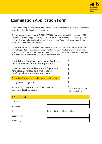

Before completing the application form, please ensure you comply with the eligibility criteria in section 2.2 of the Examination Procedures.

This form must be completed in BLOCK LETTERS throughout. It should be returned to ARB, together with all the supplementary material listed at Item 10: checklist, and the application fee, which is non-refundable in the event of cancellation. Postponed interviews will also attract additional administration fees.

Forms that are not completed properly will be returned to the applicant as will forms that are not supported by the requisite supplementary material. Applicants will be charged a scrutiny fee of 25% if ARB has to return their form. At the Board's discretion, additional fees may apply where incomplete applications are resubmitted.

Use this form if you have gained a qualification in architecture which ARB does not prescribe.

**Have you read and understood ARB's guidance for applicants?** Please take time to read it carefully before making your application.

Please Specify which examination you are applying for:

**Part 1 Part 2**

Please note you must have secured **Part 1** before applying for **Part 2** examination



| 1. Personal details |                    |
|---------------------|--------------------|
| Surname:            |                    |
| Forename/s:         |                    |
| Title:              | OMr OMrs OMiss OMs |
| Date of birth:      |                    |
| Nationality:        |                    |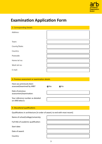

| 2. Corresponding Details |  |
|--------------------------|--|
| Address:                 |  |
| Town:                    |  |
|                          |  |
| County/State:            |  |
| Country:                 |  |
| Postcode:                |  |
| Home tel no:             |  |
| Work tel no:             |  |
| E-mail:                  |  |

#### 3. Previous assessment or examination details

| Have you previously been  |              |               |
|---------------------------|--------------|---------------|
| assessed/examined by ARB? | <b>■</b> Yes | $\bigcirc$ No |
| Date of previous          |              |               |

ale or hi assessment/examination:

Your reference number as detailed on ARB letter/s:

#### 4. Educational qualifications

Qualifications in architecture [in order of award, to end with most recent]

| Name of school/college/university:    |  |
|---------------------------------------|--|
| Full title of academic qualification: |  |
| Start date:                           |  |
| Date of award:                        |  |
| Country:                              |  |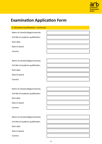

## 4. Educational qualifications | Continued

Name of school/college/university:

Full title of academic qualification:

Start date:

Date of award:

Country:

|  |  |  | Name of school/college/university: |
|--|--|--|------------------------------------|
|--|--|--|------------------------------------|

Full title of academic qualification:

Start date:

Date of award:

Country:

Name of school/college/university:

Full title of academic qualification:

Start date:

Date of award:

Country:



Name of school/college/university:

Full title of academic qualification:

Start date:

Date of award:

Country:

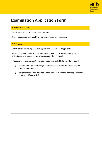

## 5. Evidence of identity

Please enclose a photocopy of your passport.

The passport must be brought to your examination for inspection.

## 6. References

Details of references supplied to support your application, if applicable.

You must provide the Board with appropriate references if you intend to present office-based or professional work in your supporting material.

(Please refer to the examination process document called Reference Templates.)

- I confirm that I am not relying on office based or professional work and no references are supplied.
- I am presenting office-based or professional work and the following references are provided (**please list**).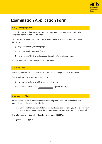

## 7. English language ability

If English is not your first language, you must hold a valid IELTS (International English Language Testing System) certificate\*.

\*This must be a single certificate at the academic level with no minimum band score below 6.5.





 $\bigcirc$  I enclose the ARB English Language Exemption Form with evidence

\*Please note: we will only accept IELTS certificates.

#### 8. Available dates

We will endeavour to accommodate your wishes regarding the date of interview.

Please indicate below your preferred choice.

 $\bigcirc$  I would like to be offered the next available date

 $\bigcirc$  I would like to attend in  $|$  (specify month/s)

#### 9. Comparative Matrix

You must enclose your Comparative Matrix stating where and how you believe your supporting material meets the criteria.

Please confirm whether you have followed the guidelines that indicate you should limit your portfolio submission to 60-80 pages of A3 or equivalent, excluding written bound materials.

The total volume of files submitted should not exceed 100MB.

O Yes O No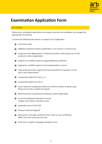

## 10. Checklist

Please note: incomplete applications are always returned and candidates are charged the appropriate scrutiny fee.

I enclose the following documents in support of my application:

- Eligibility statement (where qualification is not strictly in architecture)
- Statement from Registration or Professional body confirming access to the profession (where applicable)
- Original (or certified copies) of degree/diploma certificates
- Original (or certified copies) of transcript/academic record
- $\bigcirc$  Copy of passport (the original must be presented for inspection on the day of your examination)
- Comparative Matrix for Part 1, or
- Comparative Matrix for Part 2
- Cover sheet for Comparative Matrix to confirm number of words used. Please ensure this is dated and signed
- $\bullet$  References from past/present employers (where applicable)
- Curriculum/Syllabus/Calendar of course (supply only sections relevant to you)
- Application fee of £1671.00
- Passport-sized photograph
- Deed poll or marriage certificate if the name on your certificates differs from the name you use now
- IELTS Cert or English Language Exemption Form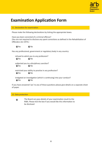

## 11. Declaration for examination

Please make the following declarations by ticking the appropriate boxes.

Have you been convicted of a criminal offence? (You are not required to disclose any spent convictions as defined in the Rehabilitation of Offenders Act 1974.)

 $\bigcirc$  Yes  $\bigcirc$  No

Has any professional, government or regulatory body in any country:

 refused to admit you to any profession?  $O$  Yes  $O$  No subjected you to a disciplinary sanction?  $QYes$   $QNo$  restricted your ability to practise in any profession?  $O$  Yes  $O$  No instigated an investigation (which is continuing) into your conduct?  $O$  Yes  $O$  No

If you have answered 'yes' to any of these questions please give details on a separate sheet of paper.

### 12. Data protection

The Board can pass details of your examination result to the  $\bullet$ RIBA. Please tick the box if you would like this information to be disclosed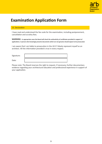

## 13. Declaration

I have read and understood the fee scale for the examination, including postponement, cancellation and scrutiny fees.

**WARNING - In appropriate cases the Board will check the authenticity of certificates provided in support of applications. A person who knowingly presents documents which are not genuine should expect to be prosecuted.**

I am aware that I am liable to prosecution in the UK if I falsely represent myself as an architect. All the information provided is true in every respect.

| Signature: |  |
|------------|--|
| Date:      |  |

Please note: The Board reserves the right to request, if necessary, further documentary evidence regarding your architectural education and professional experience in support of your application.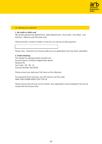

#### 14. Making your payment

#### **1. By credit or debit card**

We accept payment by MasterCard , Debit MasterCard , Visa Credit , Visa Debit , Visa Electron , Maestro and JCB cards only.

Please provide a contact number so that we can call you to take payment.

Please note - Payment can only be made once an application form has been submitted.

#### **2. Online Banking**

The details for paying by bank transfers are: Account Name: Architects Registration Board Natwest Plc Sort Code - 60 - 09 - 15 Account Number 36172618

Please ensure you state your full name as the reference.

For payments from overseas, you will need to use this code: IBAN: GB33 NWBK 6009 1536 1726 18

Please ensure that all costs are for sender. Your application may be delayed if we do not receive the full amount due.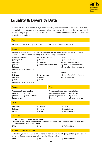

# **Equality & Diversity Data**

In line with the Equality Act 2010, we are collecting this information to help us ensure that our policies and procedures do not act as a barrier to our services. Please be assured that the information you give will be held in the strictest confidence and held in accordance with data protection legislation.

| Age                                                                                                                                                                                                                                                                 |                                                              |                                                                                                                                                                                      |                            |                                                                                                                                                                                                                        |
|---------------------------------------------------------------------------------------------------------------------------------------------------------------------------------------------------------------------------------------------------------------------|--------------------------------------------------------------|--------------------------------------------------------------------------------------------------------------------------------------------------------------------------------------|----------------------------|------------------------------------------------------------------------------------------------------------------------------------------------------------------------------------------------------------------------|
| $\bigcirc$ Under 18                                                                                                                                                                                                                                                 | $\bigcirc$ 18-35                                             | $\bigcirc$ 36-50<br>$\bullet$ 51-65                                                                                                                                                  | O Over 65                  | $\bigcirc$ Prefer not to say                                                                                                                                                                                           |
| <b>Ethnicity</b>                                                                                                                                                                                                                                                    |                                                              |                                                                                                                                                                                      |                            |                                                                                                                                                                                                                        |
| Please specify your ethnic origin. Ethnic categories are not about nationality, place of birth or<br>citizenship. They are about the group to which you feel you belong to.                                                                                         |                                                              |                                                                                                                                                                                      |                            |                                                                                                                                                                                                                        |
| <b>Asian or British Asian</b><br>● Bangladeshi<br><b>○</b> Chinese<br>$\bigcirc$ Indian<br><b>●</b> Pakistani<br>White<br><b>●</b> British<br><b>●</b> English<br>Irish                                                                                             | ◯ Any other Asian background<br>◯ Any other White background | <b>Black or Black British</b><br>● African<br><b>∩</b> Caribbean<br>◯ Northern Irish<br>$\bigcirc$ Scottish<br>◯ Welsh                                                               | Any other Black background | Mixed<br>◯ Asian and White<br>◯ Black African and White<br><b>Black Caribbean and White</b><br>$\bigcirc$ Any other mixed background<br>Other<br>$\bigcirc$ Any other ethnic background<br>$\bigcap$ Prefer not to say |
| Gender<br><b>Sexuality</b>                                                                                                                                                                                                                                          |                                                              |                                                                                                                                                                                      |                            |                                                                                                                                                                                                                        |
| Please specify your gender:<br>◯ Other<br>● Male<br>O Prefer not to say<br>$\bullet$ Female<br>● Non-Binary                                                                                                                                                         |                                                              | Please specify your sexual orientation:<br>$\bigcirc$ Heterosexual/straight<br>$\bigcirc$ Gay man<br><b>●</b> Bisexual<br>Lesbian/gay woman<br>Other<br>$\bigcirc$ Prefer not to say |                            |                                                                                                                                                                                                                        |
| Religion                                                                                                                                                                                                                                                            |                                                              |                                                                                                                                                                                      |                            |                                                                                                                                                                                                                        |
| <b>■</b> Buddhist<br>Jewish<br>$\bigcirc$ Sikh                                                                                                                                                                                                                      |                                                              | Christian<br>Muslim<br>Hindu                                                                                                                                                         |                            | $\bullet$ Other<br>◯ Non-Religious<br>$\bigcirc$ Prefer not to say                                                                                                                                                     |
| <b>Disability</b>                                                                                                                                                                                                                                                   |                                                              |                                                                                                                                                                                      |                            |                                                                                                                                                                                                                        |
| Do you consider yourself to have a disability?<br>By disability, we mean any impairment that has a substantial and long-term effect on your ability<br>to carry out normal day-to-day duties.<br>$\bullet$ Yes<br>$\bigcirc$ Prefer not to say<br>$\blacksquare$ No |                                                              |                                                                                                                                                                                      |                            |                                                                                                                                                                                                                        |
| Socio-economic background                                                                                                                                                                                                                                           |                                                              |                                                                                                                                                                                      |                            |                                                                                                                                                                                                                        |
| By the time you were 14 years old, had one or more of your parent(s) or guardian(s) completed a<br>university degree course or equivalent (e.g. BA, BSc, or higher)?                                                                                                |                                                              |                                                                                                                                                                                      |                            |                                                                                                                                                                                                                        |